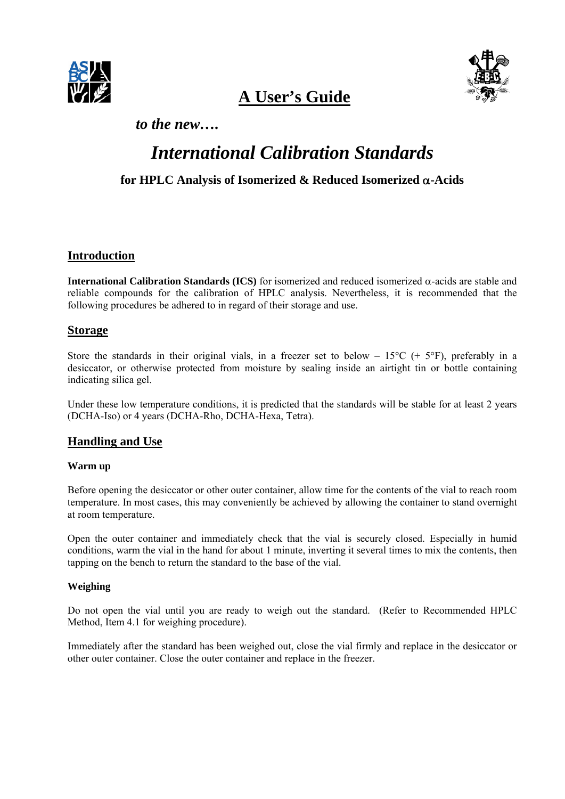

 **A User's Guide** 



*to the new….*

# *International Calibration Standards*

# **for HPLC Analysis of Isomerized & Reduced Isomerized** α**-Acids**

# **Introduction**

**International Calibration Standards (ICS)** for isomerized and reduced isomerized α-acids are stable and reliable compounds for the calibration of HPLC analysis. Nevertheless, it is recommended that the following procedures be adhered to in regard of their storage and use.

# **Storage**

Store the standards in their original vials, in a freezer set to below –  $15^{\circ}C$  (+  $5^{\circ}F$ ), preferably in a desiccator, or otherwise protected from moisture by sealing inside an airtight tin or bottle containing indicating silica gel.

Under these low temperature conditions, it is predicted that the standards will be stable for at least 2 years (DCHA-Iso) or 4 years (DCHA-Rho, DCHA-Hexa, Tetra).

# **Handling and Use**

# **Warm up**

Before opening the desiccator or other outer container, allow time for the contents of the vial to reach room temperature. In most cases, this may conveniently be achieved by allowing the container to stand overnight at room temperature.

Open the outer container and immediately check that the vial is securely closed. Especially in humid conditions, warm the vial in the hand for about 1 minute, inverting it several times to mix the contents, then tapping on the bench to return the standard to the base of the vial.

# **Weighing**

Do not open the vial until you are ready to weigh out the standard. (Refer to Recommended HPLC Method, Item 4.1 for weighing procedure).

Immediately after the standard has been weighed out, close the vial firmly and replace in the desiccator or other outer container. Close the outer container and replace in the freezer.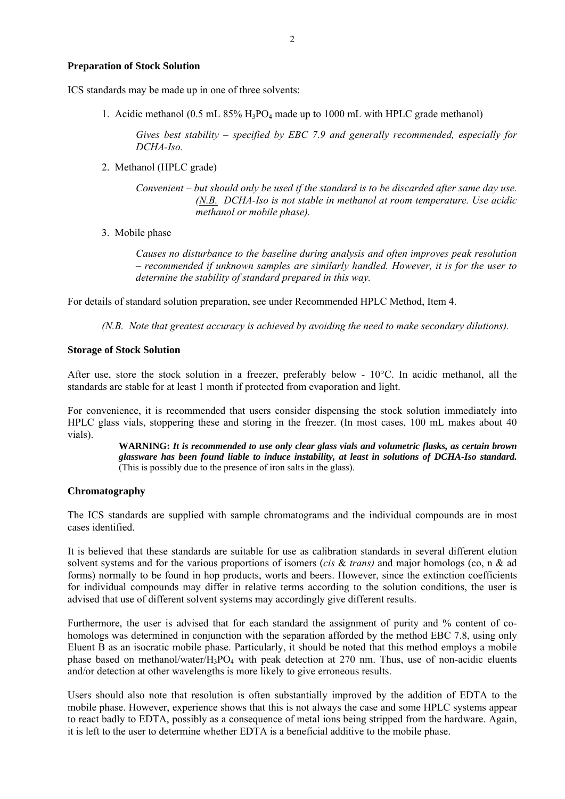### **Preparation of Stock Solution**

ICS standards may be made up in one of three solvents:

1. Acidic methanol (0.5 mL  $85\%$  H<sub>3</sub>PO<sub>4</sub> made up to 1000 mL with HPLC grade methanol)

*Gives best stability – specified by EBC 7.9 and generally recommended, especially for DCHA-Iso.*

2. Methanol (HPLC grade)

*Convenient – but should only be used if the standard is to be discarded after same day use. (N.B. DCHA-Iso is not stable in methanol at room temperature. Use acidic methanol or mobile phase).* 

3. Mobile phase

*Causes no disturbance to the baseline during analysis and often improves peak resolution – recommended if unknown samples are similarly handled. However, it is for the user to determine the stability of standard prepared in this way.* 

For details of standard solution preparation, see under Recommended HPLC Method, Item 4.

*(N.B. Note that greatest accuracy is achieved by avoiding the need to make secondary dilutions).* 

## **Storage of Stock Solution**

After use, store the stock solution in a freezer, preferably below - 10°C. In acidic methanol, all the standards are stable for at least 1 month if protected from evaporation and light.

For convenience, it is recommended that users consider dispensing the stock solution immediately into HPLC glass vials, stoppering these and storing in the freezer. (In most cases, 100 mL makes about 40 vials).

> **WARNING:** *It is recommended to use only clear glass vials and volumetric flasks, as certain brown glassware has been found liable to induce instability, at least in solutions of DCHA-Iso standard.* (This is possibly due to the presence of iron salts in the glass).

# **Chromatography**

The ICS standards are supplied with sample chromatograms and the individual compounds are in most cases identified.

It is believed that these standards are suitable for use as calibration standards in several different elution solvent systems and for the various proportions of isomers (*cis* & *trans)* and major homologs (co, n & ad forms) normally to be found in hop products, worts and beers. However, since the extinction coefficients for individual compounds may differ in relative terms according to the solution conditions, the user is advised that use of different solvent systems may accordingly give different results.

Furthermore, the user is advised that for each standard the assignment of purity and % content of cohomologs was determined in conjunction with the separation afforded by the method EBC 7.8, using only Eluent B as an isocratic mobile phase. Particularly, it should be noted that this method employs a mobile phase based on methanol/water/ $H_3PO_4$  with peak detection at 270 nm. Thus, use of non-acidic eluents and/or detection at other wavelengths is more likely to give erroneous results.

Users should also note that resolution is often substantially improved by the addition of EDTA to the mobile phase. However, experience shows that this is not always the case and some HPLC systems appear to react badly to EDTA, possibly as a consequence of metal ions being stripped from the hardware. Again, it is left to the user to determine whether EDTA is a beneficial additive to the mobile phase.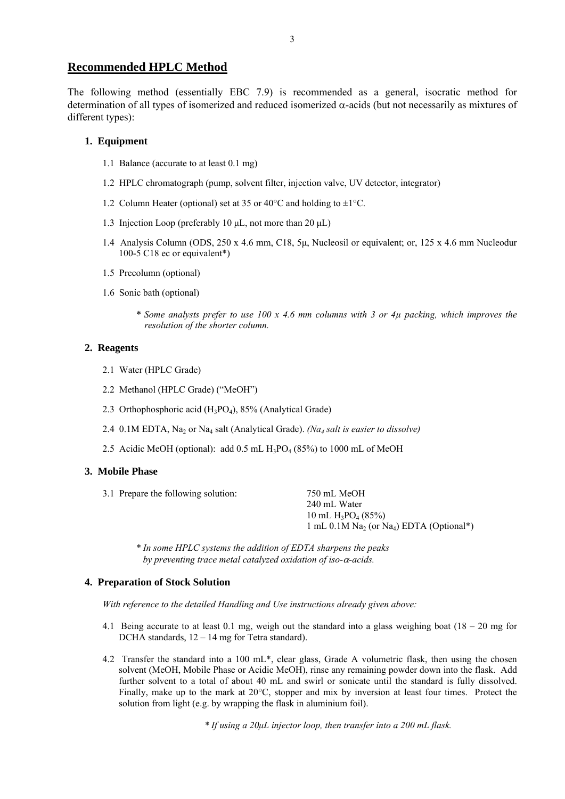# **Recommended HPLC Method**

The following method (essentially EBC 7.9) is recommended as a general, isocratic method for determination of all types of isomerized and reduced isomerized α-acids (but not necessarily as mixtures of different types):

### **1. Equipment**

- 1.1 Balance (accurate to at least 0.1 mg)
- 1.2 HPLC chromatograph (pump, solvent filter, injection valve, UV detector, integrator)
- 1.2 Column Heater (optional) set at 35 or 40 $^{\circ}$ C and holding to  $\pm$ 1 $^{\circ}$ C.
- 1.3 Injection Loop (preferably 10 μL, not more than 20 μL)
- 1.4 Analysis Column (ODS, 250 x 4.6 mm, C18, 5μ, Nucleosil or equivalent; or, 125 x 4.6 mm Nucleodur 100-5 C18 ec or equivalent\*)
- 1.5 Precolumn (optional)
- 1.6 Sonic bath (optional)
	- *\* Some analysts prefer to use 100 x 4.6 mm columns with 3 or 4µ packing, which improves the resolution of the shorter column.*

### **2. Reagents**

- 2.1 Water (HPLC Grade)
- 2.2 Methanol (HPLC Grade) ("MeOH")
- 2.3 Orthophosphoric acid  $(H_3PO_4)$ , 85% (Analytical Grade)
- 2.4 0.1M EDTA, Na2 or Na4 salt (Analytical Grade). *(Na4 salt is easier to dissolve)*
- 2.5 Acidic MeOH (optional): add  $0.5$  mL  $H_3PO_4$  (85%) to 1000 mL of MeOH

#### **3. Mobile Phase**

| 3.1 Prepare the following solution: | 750 mL MeOH                                                                   |
|-------------------------------------|-------------------------------------------------------------------------------|
|                                     | 240 mL Water                                                                  |
|                                     | 10 mL $H_3PO_4$ (85%)                                                         |
|                                     | 1 mL 0.1M Na <sub>2</sub> (or Na <sub>4</sub> ) EDTA (Optional <sup>*</sup> ) |
|                                     |                                                                               |

*\* In some HPLC systems the addition of EDTA sharpens the peaks by preventing trace metal catalyzed oxidation of iso-*α*-acids.* 

### **4. Preparation of Stock Solution**

*With reference to the detailed Handling and Use instructions already given above:* 

- 4.1 Being accurate to at least 0.1 mg, weigh out the standard into a glass weighing boat  $(18 20 \text{ mg for})$ DCHA standards, 12 – 14 mg for Tetra standard).
- 4.2 Transfer the standard into a 100 mL\*, clear glass, Grade A volumetric flask, then using the chosen solvent (MeOH, Mobile Phase or Acidic MeOH), rinse any remaining powder down into the flask. Add further solvent to a total of about 40 mL and swirl or sonicate until the standard is fully dissolved. Finally, make up to the mark at 20°C, stopper and mix by inversion at least four times. Protect the solution from light (e.g. by wrapping the flask in aluminium foil).

 *\* If using a 20μL injector loop, then transfer into a 200 mL flask.*